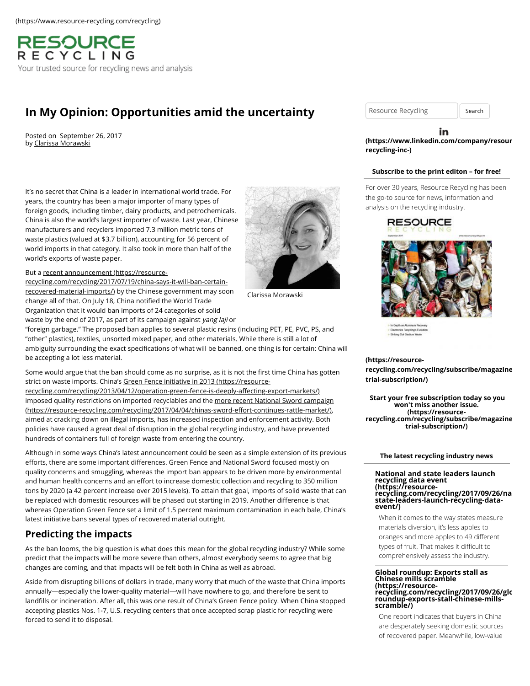[\(https://www.resource-recycling.com/recycling\)](https://www.resource-recycling.com/recycling)



# **[In My Opinion: Opportunities amid the uncertainty](https://resource-recycling.com/recycling/2017/09/26/opinion-opportunities-amid-uncertainty/)**

Posted on September 26, 2017 by [Clarissa Morawski](https://resource-recycling.com/recycling/2017/09/26/opinion-opportunities-amid-uncertainty/)

It's no secret that China is a leader in international world trade. For years, the country has been a major importer of many types of foreign goods, including timber, dairy products, and petrochemicals. China is also the world's largest importer of waste. Last year, Chinese manufacturers and recyclers imported 7.3 million metric tons of waste plastics (valued at \$3.7 billion), accounting for 56 percent of world imports in that category. It also took in more than half of the world's exports of waste paper.



### But a recent announcement (https://resource-

[recycling.com/recycling/2017/07/19/china-says-it-will-ban-certain](https://resource-recycling.com/recycling/2017/07/19/china-says-it-will-ban-certain-recovered-material-imports/)recovered-material-imports/) by the Chinese government may soon change all of that. On July 18, China notified the World Trade Organization that it would ban imports of 24 categories of solid waste by the end of 2017, as part of its campaign against yang laji or

"foreign garbage." The proposed ban applies to several plastic resins (including PET, PE, PVC, PS, and "other" plastics), textiles, unsorted mixed paper, and other materials. While there is still a lot of ambiguity surrounding the exact specifications of what will be banned, one thing is for certain: China will be accepting a lot less material.

Some would argue that the ban should come as no surprise, as it is not the first time China has gotten [strict on waste imports. China's Green Fence initiative in 2013 \(https://resource-](https://resource-recycling.com/recycling/2013/04/12/operation-green-fence-is-deeply-affecting-export-markets/)

recycling.com/recycling/2013/04/12/operation-green-fence-is-deeply-affecting-export-markets/) [imposed quality restrictions on imported recyclables and the more recent National Sword campaign](https://resource-recycling.com/recycling/2017/04/04/chinas-sword-effort-continues-rattle-market/) (https://resource-recycling.com/recycling/2017/04/04/chinas-sword-effort-continues-rattle-market/), aimed at cracking down on illegal imports, has increased inspection and enforcement activity. Both policies have caused a great deal of disruption in the global recycling industry, and have prevented hundreds of containers full of foreign waste from entering the country.

Although in some ways China's latest announcement could be seen as a simple extension of its previous efforts, there are some important differences. Green Fence and National Sword focused mostly on quality concerns and smuggling, whereas the import ban appears to be driven more by environmental and human health concerns and an effort to increase domestic collection and recycling to 350 million tons by 2020 (a 42 percent increase over 2015 levels). To attain that goal, imports of solid waste that can be replaced with domestic resources will be phased out starting in 2019. Another difference is that whereas Operation Green Fence set a limit of 1.5 percent maximum contamination in each bale, China's latest initiative bans several types of recovered material outright.

## **Predicting the impacts**

As the ban looms, the big question is what does this mean for the global recycling industry? While some predict that the impacts will be more severe than others, almost everybody seems to agree that big changes are coming, and that impacts will be felt both in China as well as abroad.

Aside from disrupting billions of dollars in trade, many worry that much of the waste that China imports annually—especially the lower-quality material—will have nowhere to go, and therefore be sent to landfills or incineration. After all, this was one result of China's Green Fence policy. When China stopped accepting plastics Nos. 1-7, U.S. recycling centers that once accepted scrap plastic for recycling were forced to send it to disposal.

Resource Recycling | Search

#### in **[\(https://www.linkedin.com/company/resour](https://www.linkedin.com/company/resource-recycling-inc-)cerecycling-inc-)**

## **Subscribe to the print editon – for free!**

For over 30 years, Resource Recycling has been the go-to source for news, information and analysis on the recycling industry.

**RESOURCE** 



#### **(https://resource-**

**[recycling.com/recycling/subscribe/magazine](https://resource-recycling.com/recycling/subscribe/magazine-trial-subscription/)trial-subscription/)**

**Start your free subscription today so you won't miss another issue. (https://resource[recycling.com/recycling/subscribe/magazine](https://resource-recycling.com/recycling/subscribe/magazine-trial-subscription/)trial-subscription/)**

#### **The latest recycling industry news**

#### **National and state leaders launch recycling data event (https://resource[recycling.com/recycling/2017/09/26/na](https://resource-recycling.com/recycling/2017/09/26/national-state-leaders-launch-recycling-data-event/)tionalstate-leaders-launch-recycling-dataevent/)**

When it comes to the way states measure materials diversion, it's less apples to oranges and more apples to 49 different types of fruit. That makes it difficult to comprehensively assess the industry.

# **Global roundup: Exports stall as Chinese mills scramble (https://resource[recycling.com/recycling/2017/09/26/glo](https://resource-recycling.com/recycling/2017/09/26/global-roundup-exports-stall-chinese-mills-scramble/)bal-roundup-exports-stall-chinese-mills-scramble/)**

One report indicates that buyers in China are desperately seeking domestic sources of recovered paper. Meanwhile, low-value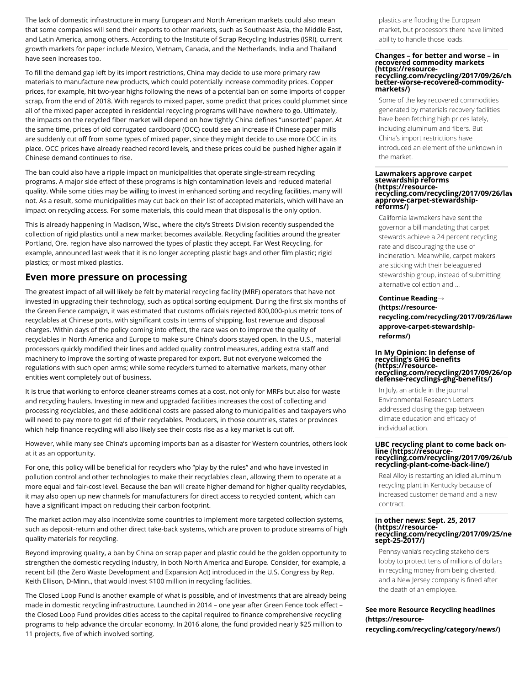The lack of domestic infrastructure in many European and North American markets could also mean that some companies will send their exports to other markets, such as Southeast Asia, the Middle East, and Latin America, among others. According to the Institute of Scrap Recycling Industries (ISRI), current growth markets for paper include Mexico, Vietnam, Canada, and the Netherlands. India and Thailand have seen increases too.

To fill the demand gap left by its import restrictions, China may decide to use more primary raw materials to manufacture new products, which could potentially increase commodity prices. Copper prices, for example, hit two-year highs following the news of a potential ban on some imports of copper scrap, from the end of 2018. With regards to mixed paper, some predict that prices could plummet since all of the mixed paper accepted in residential recycling programs will have nowhere to go. Ultimately, the impacts on the recycled fiber market will depend on how tightly China defines "unsorted" paper. At the same time, prices of old corrugated cardboard (OCC) could see an increase if Chinese paper mills are suddenly cut off from some types of mixed paper, since they might decide to use more OCC in its place. OCC prices have already reached record levels, and these prices could be pushed higher again if Chinese demand continues to rise.

The ban could also have a ripple impact on municipalities that operate single-stream recycling programs. A major side effect of these programs is high contamination levels and reduced material quality. While some cities may be willing to invest in enhanced sorting and recycling facilities, many will not. As a result, some municipalities may cut back on their list of accepted materials, which will have an impact on recycling access. For some materials, this could mean that disposal is the only option.

This is already happening in Madison, Wisc., where the city's Streets Division recently suspended the collection of rigid plastics until a new market becomes available. Recycling facilities around the greater Portland, Ore. region have also narrowed the types of plastic they accept. Far West Recycling, for example, announced last week that it is no longer accepting plastic bags and other film plastic; rigid plastics; or most mixed plastics.

## **Even more pressure on processing**

The greatest impact of all will likely be felt by material recycling facility (MRF) operators that have not invested in upgrading their technology, such as optical sorting equipment. During the first six months of the Green Fence campaign, it was estimated that customs officials rejected 800,000-plus metric tons of recyclables at Chinese ports, with significant costs in terms of shipping, lost revenue and disposal charges. Within days of the policy coming into effect, the race was on to improve the quality of recyclables in North America and Europe to make sure China's doors stayed open. In the U.S., material processors quickly modified their lines and added quality control measures, adding extra staff and machinery to improve the sorting of waste prepared for export. But not everyone welcomed the regulations with such open arms; while some recyclers turned to alternative markets, many other entities went completely out of business.

It is true that working to enforce cleaner streams comes at a cost, not only for MRFs but also for waste and recycling haulers. Investing in new and upgraded facilities increases the cost of collecting and processing recyclables, and these additional costs are passed along to municipalities and taxpayers who will need to pay more to get rid of their recyclables. Producers, in those countries, states or provinces which help finance recycling will also likely see their costs rise as a key market is cut off.

However, while many see China's upcoming imports ban as a disaster for Western countries, others look at it as an opportunity.

For one, this policy will be beneficial for recyclers who "play by the rules" and who have invested in pollution control and other technologies to make their recyclables clean, allowing them to operate at a more equal and fair-cost level. Because the ban will create higher demand for higher quality recyclables, it may also open up new channels for manufacturers for direct access to recycled content, which can have a significant impact on reducing their carbon footprint.

The market action may also incentivize some countries to implement more targeted collection systems, such as deposit-return and other direct take-back systems, which are proven to produce streams of high quality materials for recycling.

Beyond improving quality, a ban by China on scrap paper and plastic could be the golden opportunity to strengthen the domestic recycling industry, in both North America and Europe. Consider, for example, a recent bill (the Zero Waste Development and Expansion Act) introduced in the U.S. Congress by Rep. Keith Ellison, D-Minn., that would invest \$100 million in recycling facilities.

The Closed Loop Fund is another example of what is possible, and of investments that are already being made in domestic recycling infrastructure. Launched in 2014 – one year after Green Fence took effect – the Closed Loop Fund provides cities access to the capital required to finance comprehensive recycling programs to help advance the circular economy. In 2016 alone, the fund provided nearly \$25 million to 11 projects, five of which involved sorting.

plastics are flooding the European market, but processors there have limited ability to handle those loads.

#### **Changes – for better and worse – in recovered commodity markets (https://resource[recycling.com/recycling/2017/09/26/cha](https://resource-recycling.com/recycling/2017/09/26/changes-better-worse-recovered-commodity-markets/)ngesbetter-worse-recovered-commoditymarkets/)**

Some of the key recovered commodities generated by materials recovery facilities have been fetching high prices lately, including aluminum and fibers. But China's import restrictions have introduced an element of the unknown in the market.

#### **Lawmakers approve carpet stewardship reforms (https://resource[recycling.com/recycling/2017/09/26/law](https://resource-recycling.com/recycling/2017/09/26/lawmakers-approve-carpet-stewardship-reforms/)makersapprove-carpet-stewardshipreforms/)**

California lawmakers have sent the governor a bill mandating that carpet stewards achieve a 24 percent recycling rate and discouraging the use of incineration. Meanwhile, carpet makers are sticking with their beleaguered stewardship group, instead of submitting alternative collection and …

**Continue Reading→ (https://resource[recycling.com/recycling/2017/09/26/lawm](https://resource-recycling.com/recycling/2017/09/26/lawmakers-approve-carpet-stewardship-reforms/)akersapprove-carpet-stewardshipreforms/)**

### **In My Opinion: In defense of recycling's GHG benefits (https://resource[recycling.com/recycling/2017/09/26/op](https://resource-recycling.com/recycling/2017/09/26/opinion-defense-recyclings-ghg-benefits/)iniondefense-recyclings-ghg-benefits/)**

In July, an article in the journal Environmental Research Letters addressed closing the gap between climate education and efficacy of individual action.

# **UBC recycling plant to come back online (https://resource- [recycling.com/recycling/2017/09/26/ub](https://resource-recycling.com/recycling/2017/09/26/ubc-recycling-plant-come-back-line/)c-recycling-plant-come-back-line/)**

Real Alloy is restarting an idled aluminum recycling plant in Kentucky because of increased customer demand and a new contract.

## **In other news: Sept. 25, 2017 (https://resource[recycling.com/recycling/2017/09/25/ne](https://resource-recycling.com/recycling/2017/09/25/news-sept-25-2017/)ws-sept-25-2017/)**

Pennsylvania's recycling stakeholders lobby to protect tens of millions of dollars in recycling money from being diverted, and a New Jersey company is fined after the death of an employee.

## **See more Resource Recycling headlines (https://resource-**

**[recycling.com/recycling/category/news/\)](https://resource-recycling.com/recycling/category/news/)**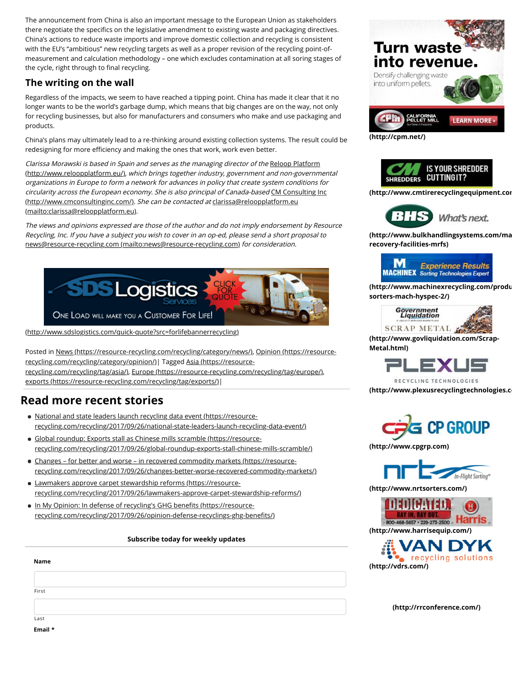The announcement from China is also an important message to the European Union as stakeholders there negotiate the specifics on the legislative amendment to existing waste and packaging directives. China's actions to reduce waste imports and improve domestic collection and recycling is consistent with the EU's "ambitious" new recycling targets as well as a proper revision of the recycling point-ofmeasurement and calculation methodology – one which excludes contamination at all soring stages of the cycle, right through to final recycling.

## **The writing on the wall**

Regardless of the impacts, we seem to have reached a tipping point. China has made it clear that it no longer wants to be the world's garbage dump, which means that big changes are on the way, not only for recycling businesses, but also for manufacturers and consumers who make and use packaging and products.

China's plans may ultimately lead to a re-thinking around existing collection systems. The result could be redesigning for more efficiency and making the ones that work, work even better.

[Clarissa Morawski is based in Spain and serves as the managing director of the](http://www.reloopplatform.eu/) Reloop Platform (http://www.reloopplatform.eu/), which brings together industry, government and non-governmental organizations in Europe to form a network for advances in policy that create system conditions for [circularity across the European economy. She is also principal of Canada-based](http://www.cmconsultinginc.com/) CM Consulting Inc (http://www.cmconsultinginc.com/). She can be contacted at clarissa@reloopplatform.eu [\(mailto:clarissa@reloopplatform.eu\)](mailto:clarissa@reloopplatform.eu).

The views and opinions expressed are those of the author and do not imply endorsement by Resource Recycling, Inc. If you have a subject you wish to cover in an op-ed, please send a short proposal to [news@resource-recycling.com \(mailto:news@resource-recycling.com\)](mailto:news@resource-recycling.com) for consideration.



[\(http://www.sdslogistics.com/quick-quote?src=forlifebannerrecycling\)](http://www.sdslogistics.com/quick-quote?src=forlifebannerrecycling)

[Posted in](https://resource-recycling.com/recycling/category/opinion/) [News \(https://resource-recycling.com/recycling/category/news/\)](https://resource-recycling.com/recycling/category/news/)[, Opinion \(https://resource](https://resource-recycling.com/recycling/category/opinion/)[recycling.com/recycling/category/opinion/\)| Tagged Asia \(https://resource](https://resource-recycling.com/recycling/tag/asia/)recycling.com/recycling/tag/asia/), [Europe \(https://resource-recycling.com/recycling/tag/europe/\)](https://resource-recycling.com/recycling/tag/europe/), [exports \(https://resource-recycling.com/recycling/tag/exports/\)|](https://resource-recycling.com/recycling/tag/exports/)

## **Read more recent stories**

- National and state leaders launch recycling data event (https://resource[recycling.com/recycling/2017/09/26/national-state-leaders-launch-recycling-data-event/\)](https://resource-recycling.com/recycling/2017/09/26/national-state-leaders-launch-recycling-data-event/)
- Global roundup: Exports stall as Chinese mills scramble (https://resource[recycling.com/recycling/2017/09/26/global-roundup-exports-stall-chinese-mills-scramble/\)](https://resource-recycling.com/recycling/2017/09/26/global-roundup-exports-stall-chinese-mills-scramble/)
- Changes for better and worse in recovered commodity markets (https://resource[recycling.com/recycling/2017/09/26/changes-better-worse-recovered-commodity-markets/\)](https://resource-recycling.com/recycling/2017/09/26/changes-better-worse-recovered-commodity-markets/)
- Lawmakers approve carpet stewardship reforms (https://resource[recycling.com/recycling/2017/09/26/lawmakers-approve-carpet-stewardship-reforms/\)](https://resource-recycling.com/recycling/2017/09/26/lawmakers-approve-carpet-stewardship-reforms/)
- . In My Opinion: In defense of recycling's GHG benefits (https://resource[recycling.com/recycling/2017/09/26/opinion-defense-recyclings-ghg-bene](https://resource-recycling.com/recycling/2017/09/26/opinion-defense-recyclings-ghg-benefits/)fits/)

## **Subscribe today for weekly updates**

| Name  |  |  |
|-------|--|--|
|       |  |  |
| First |  |  |
| Last  |  |  |







**[\(http://www.cmtirerecyclingequipment.com](http://www.cmtirerecyclingequipment.com/)/)**



**[\(http://www.bulkhandlingsystems.com/ma](http://www.bulkhandlingsystems.com/materials-recovery-facilities-mrfs)terialsrecovery-facilities-mrfs)**



**[\(http://www.machinexrecycling.com/produ](http://www.machinexrecycling.com/products/optical-sorters-mach-hyspec-2/)cts/opticalsorters-mach-hyspec-2/)**



**[\(http://www.govliquidation.com/Scrap-](http://www.govliquidation.com/Scrap-Metal.html)Metal.html)**



RECYCLING TECHNOLOGIES **[\(http://www.plexusrecyclingtechnologies.co](http://www.plexusrecyclingtechnologies.com/)m/)**



**[\(http://www.cpgrp.com\)](http://www.cpgrp.com/)**



**[\(http://www.nrtsorters.com/\)](http://www.nrtsorters.com/)**





**[\(http://rrconference.com/\)](http://rrconference.com/)**

**Email \***